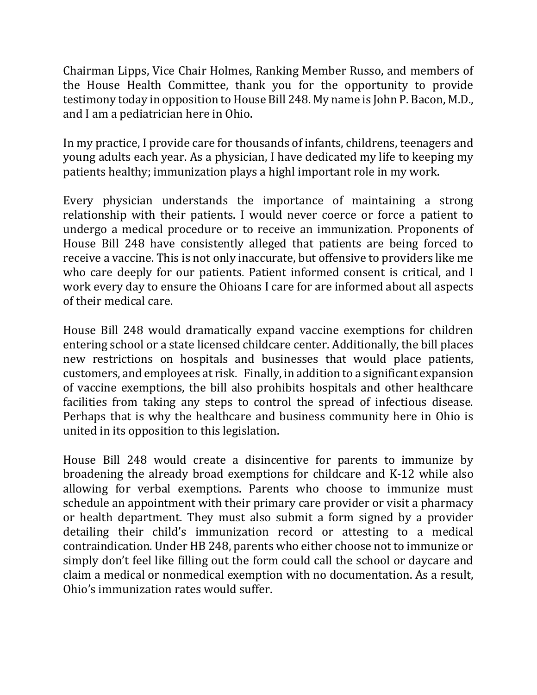Chairman Lipps, Vice Chair Holmes, Ranking Member Russo, and members of the House Health Committee, thank you for the opportunity to provide testimony today in opposition to House Bill 248. My name is John P. Bacon, M.D., and I am a pediatrician here in Ohio.

In my practice, I provide care for thousands of infants, childrens, teenagers and young adults each year. As a physician, I have dedicated my life to keeping my patients healthy; immunization plays a highl important role in my work.

Every physician understands the importance of maintaining a strong relationship with their patients. I would never coerce or force a patient to undergo a medical procedure or to receive an immunization. Proponents of House Bill 248 have consistently alleged that patients are being forced to receive a vaccine. This is not only inaccurate, but offensive to providers like me who care deeply for our patients. Patient informed consent is critical, and I work every day to ensure the Ohioans I care for are informed about all aspects of their medical care.

House Bill 248 would dramatically expand vaccine exemptions for children entering school or a state licensed childcare center. Additionally, the bill places new restrictions on hospitals and businesses that would place patients, customers, and employees at risk. Finally, in addition to a significant expansion of vaccine exemptions, the bill also prohibits hospitals and other healthcare facilities from taking any steps to control the spread of infectious disease. Perhaps that is why the healthcare and business community here in Ohio is united in its opposition to this legislation.

House Bill 248 would create a disincentive for parents to immunize by broadening the already broad exemptions for childcare and K-12 while also allowing for verbal exemptions. Parents who choose to immunize must schedule an appointment with their primary care provider or visit a pharmacy or health department. They must also submit a form signed by a provider detailing their child's immunization record or attesting to a medical contraindication. Under HB 248, parents who either choose not to immunize or simply don't feel like filling out the form could call the school or daycare and claim a medical or nonmedical exemption with no documentation. As a result, Ohio's immunization rates would suffer.